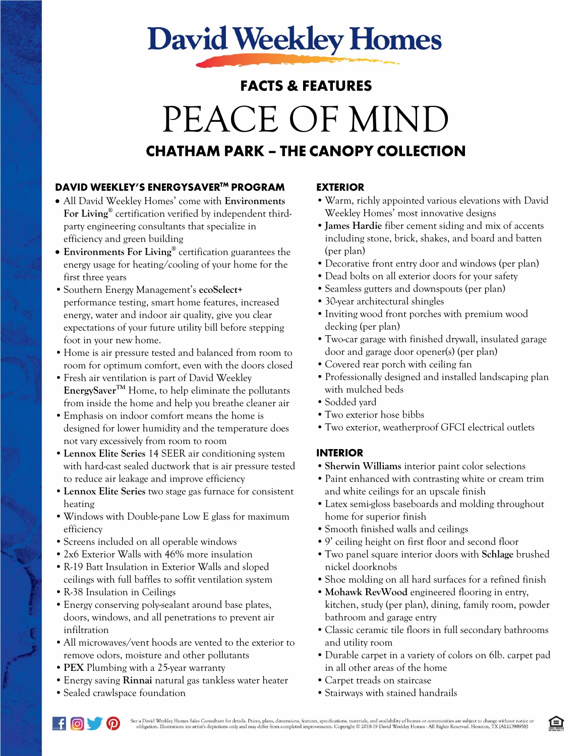# **David Weekley Homes**

# **FACTS & FEATURES** PEACE OF MIND **CHATHAM PARK - THE CANOPY COLLECTION**

#### **DAVID WEEKLEY'S ENERGYSAVER™ PROGRAM**

- All David Weekley Homes' come with **Environments For Living®** certification verified by independent thirdparty engineering consultants that specialize in efficiency and green building
- **Environments For Living®** certification guarantees the energy usage for heating/cooling of your home for the first three years
- •Southern Energy Management's **ecoSelect+**  performance testing, smart home features, increased energy, water and indoor air quality, give you clear expectations of your future utility bill before stepping foot in your new home.
- •Home is air pressure tested and balanced from room to room for optimum comfort, even with the doors closed
- •Fresh air ventilation is part of David Weekley **EnergySaverTM** Home, to help eliminate the pollutants from inside the home and help you breathe cleaner air
- •Emphasis on indoor comfort means the home is designed for lower humidity and the temperature does not vary excessively from room to room
- •**Lennox Elite Series** 14 SEER air conditioning system with hard-cast sealed ductwork that is air pressure tested to reduce air leakage and improve efficiency
- •**Lennox Elite Series** two stage gas furnace for consistent heating
- •Windows with Double-pane Low E glass for maximum efficiency
- •Screens included on all operable windows
- 2x6 Exterior Walls with 46% more insulation
- •R-19 Batt Insulation in Exterior Walls and sloped ceilings with full baffles to soffit ventilation system
- •R-38 Insulation in Ceilings
- •Energy conserving poly-sealant around base plates, doors, windows, and all penetrations to prevent air infiltration
- All microwaves/vent hoods are vented to the exterior to remove odors, moisture and other pollutants
- •**PEX** Plumbing with a 25-year warranty
- •Energy saving **Rinnai** natural gas tankless water heater
- Sealed crawlspace foundation

# **EXTERIOR**

- •Warm, richly appointed various elevations with David Weekley Homes' most innovative designs
- •**James Hardie** fiber cement siding and mix of accents including stone, brick, shakes, and board and batten (per plan)
- •Decorative front entry door and windows (per plan)
- Dead bolts on all exterior doors for your safety
- •Seamless gutters and downspouts (per plan)
- 30-year architectural shingles
- •Inviting wood front porches with premium wood decking (per plan)
- •Two-car garage with finished drywall, insulated garage door and garage door opener(s) (per plan)
- Covered rear porch with ceiling fan
- •Professionally designed and installed landscaping plan with mulched beds
- Sodded vard
- •Two exterior hose bibbs
- •Two exterior, weatherproof GFCI electrical outlets

# **INTERIOR**

- •**Sherwin Williams** interior paint color selections
- •Paint enhanced with contrasting white or cream trim and white ceilings for an upscale finish
- •Latex semi-gloss baseboards and molding throughout home for superior finish
- •Smooth finished walls and ceilings
- •9' ceiling height on first floor and second floor
- •Two panel square interior doors with **Schlage** brushed nickel doorknobs
- Shoe molding on all hard surfaces for a refined finish
- **Mohawk RevWood** engineered flooring in entry, kitchen, study (per plan), dining, family room, powder bathroom and garage entry
- Classic ceramic tile floors in full secondary bathrooms and utility room
- •Durable carpet in a variety of colors on 6lb. carpet pad in all other areas of the home
- Carpet treads on staircase
- •Stairways with stained handrails